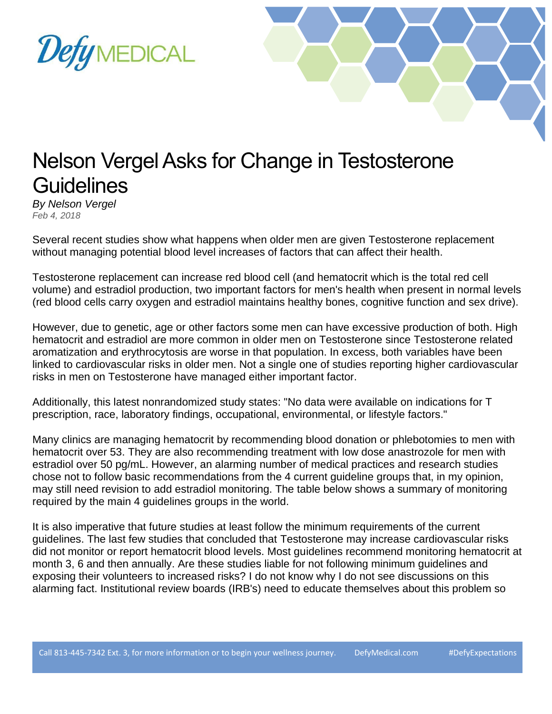



## Nelson Vergel Asks for Change in Testosterone **Guidelines**

*By Nelson Vergel Feb 4, 2018*

Several recent studies show what happens when older men are given Testosterone replacement without managing potential blood level increases of factors that can affect their health.

Testosterone replacement can increase red blood cell (and hematocrit which is the total red cell volume) and estradiol production, two important factors for men's health when present in normal levels (red blood cells carry oxygen and estradiol maintains healthy bones, cognitive function and sex drive).

However, due to genetic, age or other factors some men can have excessive production of both. High hematocrit and estradiol are more common in older men on Testosterone since Testosterone related aromatization and erythrocytosis are worse in that population. In excess, both variables have been linked to cardiovascular risks in older men. Not a single one of studies reporting higher cardiovascular risks in men on Testosterone have managed either important factor.

Additionally, this latest nonrandomized study states: "No data were available on indications for T prescription, race, laboratory findings, occupational, environmental, or lifestyle factors."

Many clinics are managing hematocrit by recommending blood donation or phlebotomies to men with hematocrit over 53. They are also recommending treatment with low dose anastrozole for men with estradiol over 50 pg/mL. However, an alarming number of medical practices and research studies chose not to follow basic recommendations from the 4 current guideline groups that, in my opinion, may still need revision to add estradiol monitoring. The table below shows a summary of monitoring required by the main 4 guidelines groups in the world.

It is also imperative that future studies at least follow the minimum requirements of the current guidelines. The last few studies that concluded that Testosterone may increase cardiovascular risks did not monitor or report hematocrit blood levels. Most guidelines recommend monitoring hematocrit at month 3, 6 and then annually. Are these studies liable for not following minimum guidelines and exposing their volunteers to increased risks? I do not know why I do not see discussions on this alarming fact. Institutional review boards (IRB's) need to educate themselves about this problem so